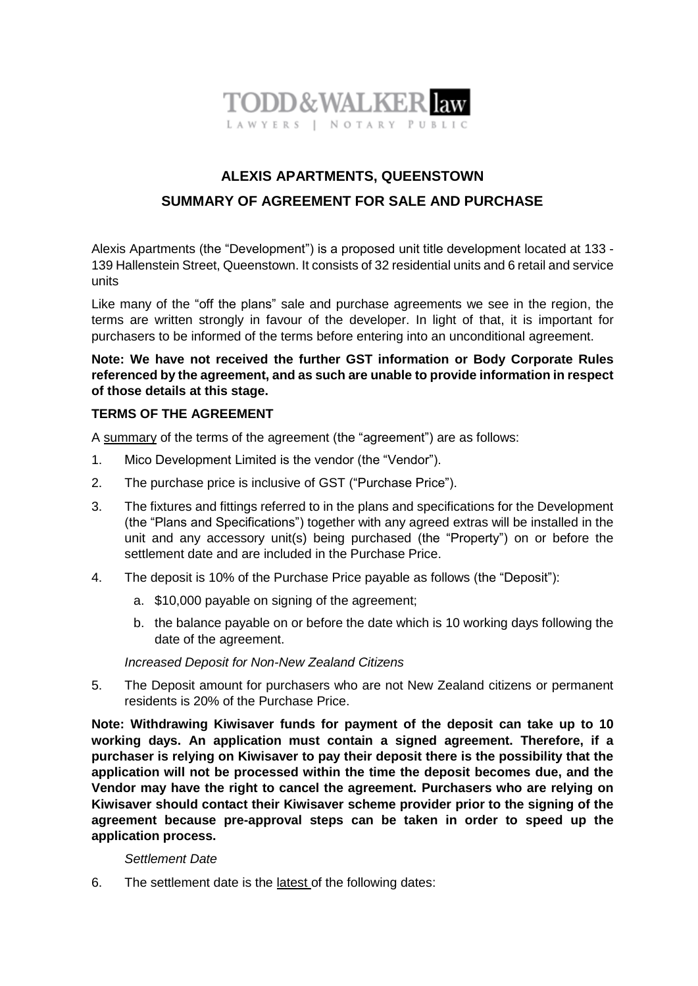

# **ALEXIS APARTMENTS, QUEENSTOWN SUMMARY OF AGREEMENT FOR SALE AND PURCHASE**

Alexis Apartments (the "Development") is a proposed unit title development located at 133 - 139 Hallenstein Street, Queenstown. It consists of 32 residential units and 6 retail and service units

Like many of the "off the plans" sale and purchase agreements we see in the region, the terms are written strongly in favour of the developer. In light of that, it is important for purchasers to be informed of the terms before entering into an unconditional agreement.

**Note: We have not received the further GST information or Body Corporate Rules referenced by the agreement, and as such are unable to provide information in respect of those details at this stage.** 

#### **TERMS OF THE AGREEMENT**

A summary of the terms of the agreement (the "agreement") are as follows:

- 1. Mico Development Limited is the vendor (the "Vendor").
- 2. The purchase price is inclusive of GST ("Purchase Price").
- 3. The fixtures and fittings referred to in the plans and specifications for the Development (the "Plans and Specifications") together with any agreed extras will be installed in the unit and any accessory unit(s) being purchased (the "Property") on or before the settlement date and are included in the Purchase Price.
- 4. The deposit is 10% of the Purchase Price payable as follows (the "Deposit"):
	- a. \$10,000 payable on signing of the agreement;
	- b. the balance payable on or before the date which is 10 working days following the date of the agreement.

#### *Increased Deposit for Non-New Zealand Citizens*

5. The Deposit amount for purchasers who are not New Zealand citizens or permanent residents is 20% of the Purchase Price.

**Note: Withdrawing Kiwisaver funds for payment of the deposit can take up to 10 working days. An application must contain a signed agreement. Therefore, if a purchaser is relying on Kiwisaver to pay their deposit there is the possibility that the application will not be processed within the time the deposit becomes due, and the Vendor may have the right to cancel the agreement. Purchasers who are relying on Kiwisaver should contact their Kiwisaver scheme provider prior to the signing of the agreement because pre-approval steps can be taken in order to speed up the application process.**

#### *Settlement Date*

6. The settlement date is the latest of the following dates: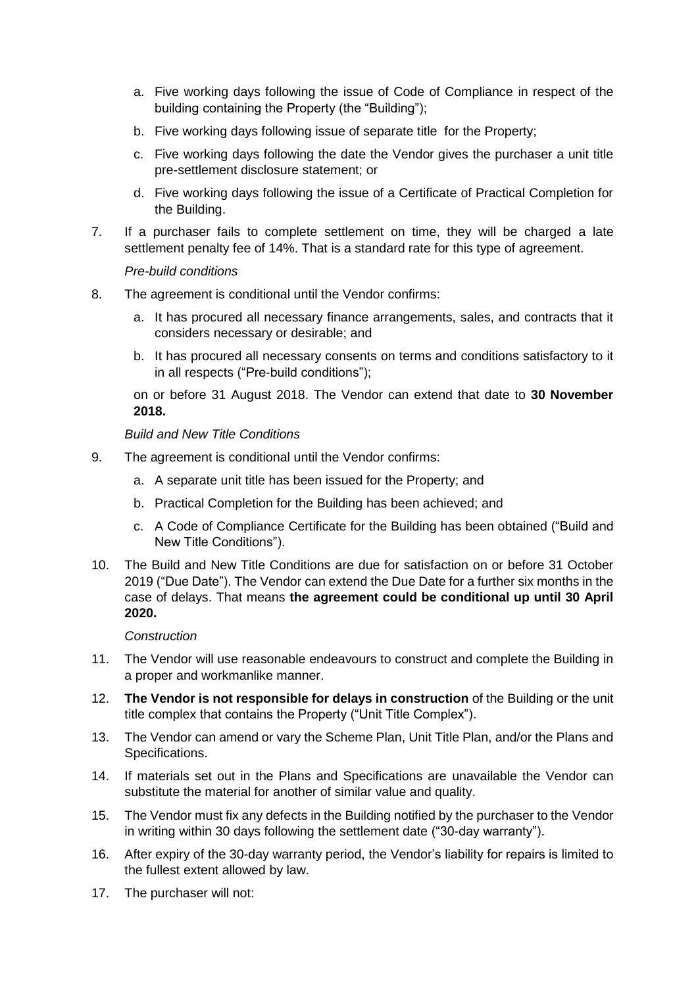- a. Five working days following the issue of Code of Compliance in respect of the building containing the Property (the "Building");
- b. Five working days following issue of separate title for the Property;
- c. Five working days following the date the Vendor gives the purchaser a unit title pre-settlement disclosure statement; or
- d. Five working days following the issue of a Certificate of Practical Completion for the Building.
- 7. If a purchaser fails to complete settlement on time, they will be charged a late settlement penalty fee of 14%. That is a standard rate for this type of agreement.

# *Pre-build conditions*

- 8. The agreement is conditional until the Vendor confirms:
	- a. It has procured all necessary finance arrangements, sales, and contracts that it considers necessary or desirable; and
	- b. It has procured all necessary consents on terms and conditions satisfactory to it in all respects ("Pre-build conditions");

on or before 31 August 2018. The Vendor can extend that date to **30 November 2018.**

*Build and New Title Conditions* 

- 9. The agreement is conditional until the Vendor confirms:
	- a. A separate unit title has been issued for the Property; and
	- b. Practical Completion for the Building has been achieved; and
	- c. A Code of Compliance Certificate for the Building has been obtained ("Build and New Title Conditions").
- 10. The Build and New Title Conditions are due for satisfaction on or before 31 October 2019 ("Due Date"). The Vendor can extend the Due Date for a further six months in the case of delays. That means **the agreement could be conditional up until 30 April 2020.**

## *Construction*

- 11. The Vendor will use reasonable endeavours to construct and complete the Building in a proper and workmanlike manner.
- 12. **The Vendor is not responsible for delays in construction** of the Building or the unit title complex that contains the Property ("Unit Title Complex").
- 13. The Vendor can amend or vary the Scheme Plan, Unit Title Plan, and/or the Plans and Specifications.
- 14. If materials set out in the Plans and Specifications are unavailable the Vendor can substitute the material for another of similar value and quality.
- 15. The Vendor must fix any defects in the Building notified by the purchaser to the Vendor in writing within 30 days following the settlement date ("30-day warranty").
- 16. After expiry of the 30-day warranty period, the Vendor's liability for repairs is limited to the fullest extent allowed by law.
- 17. The purchaser will not: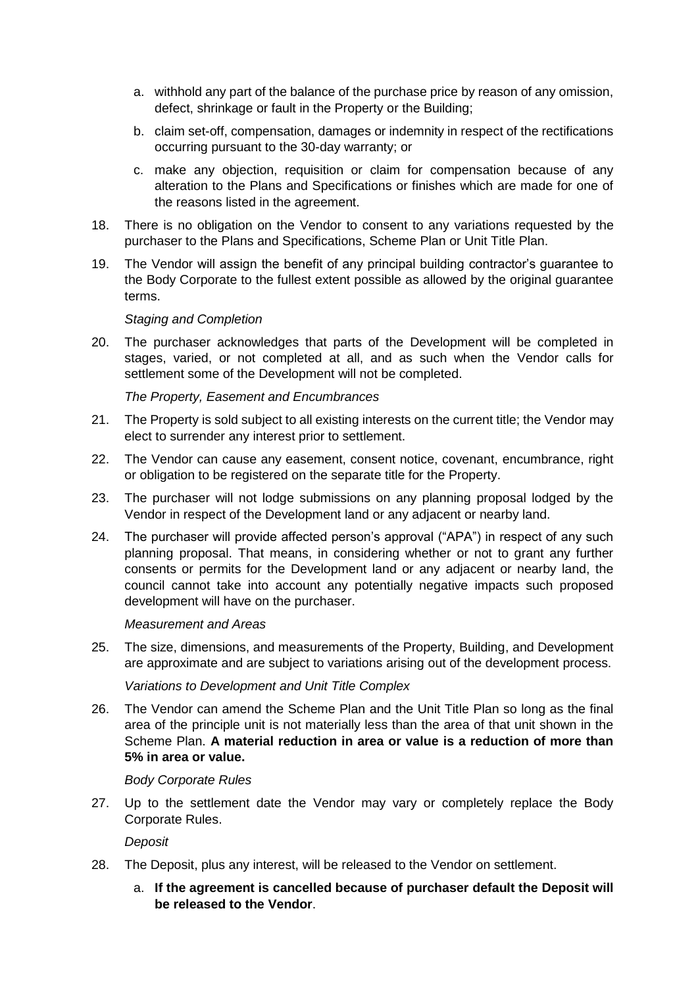- a. withhold any part of the balance of the purchase price by reason of any omission, defect, shrinkage or fault in the Property or the Building;
- b. claim set-off, compensation, damages or indemnity in respect of the rectifications occurring pursuant to the 30-day warranty; or
- c. make any objection, requisition or claim for compensation because of any alteration to the Plans and Specifications or finishes which are made for one of the reasons listed in the agreement.
- 18. There is no obligation on the Vendor to consent to any variations requested by the purchaser to the Plans and Specifications, Scheme Plan or Unit Title Plan.
- 19. The Vendor will assign the benefit of any principal building contractor's guarantee to the Body Corporate to the fullest extent possible as allowed by the original guarantee terms.

#### *Staging and Completion*

20. The purchaser acknowledges that parts of the Development will be completed in stages, varied, or not completed at all, and as such when the Vendor calls for settlement some of the Development will not be completed.

#### *The Property, Easement and Encumbrances*

- 21. The Property is sold subject to all existing interests on the current title; the Vendor may elect to surrender any interest prior to settlement.
- 22. The Vendor can cause any easement, consent notice, covenant, encumbrance, right or obligation to be registered on the separate title for the Property.
- 23. The purchaser will not lodge submissions on any planning proposal lodged by the Vendor in respect of the Development land or any adjacent or nearby land.
- 24. The purchaser will provide affected person's approval ("APA") in respect of any such planning proposal. That means, in considering whether or not to grant any further consents or permits for the Development land or any adjacent or nearby land, the council cannot take into account any potentially negative impacts such proposed development will have on the purchaser.

#### *Measurement and Areas*

25. The size, dimensions, and measurements of the Property, Building, and Development are approximate and are subject to variations arising out of the development process.

*Variations to Development and Unit Title Complex* 

26. The Vendor can amend the Scheme Plan and the Unit Title Plan so long as the final area of the principle unit is not materially less than the area of that unit shown in the Scheme Plan. **A material reduction in area or value is a reduction of more than 5% in area or value.** 

#### *Body Corporate Rules*

27. Up to the settlement date the Vendor may vary or completely replace the Body Corporate Rules.

*Deposit*

- 28. The Deposit, plus any interest, will be released to the Vendor on settlement.
	- a. **If the agreement is cancelled because of purchaser default the Deposit will be released to the Vendor**.